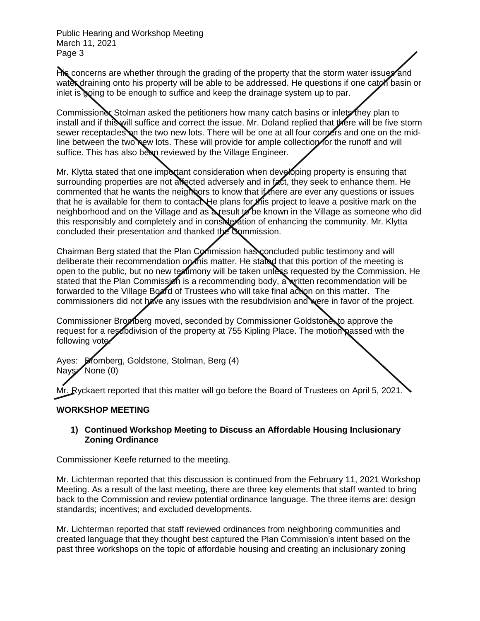His concerns are whether through the grading of the property that the storm water issues and water draining onto his property will be able to be addressed. He questions if one cator basin or inlet is going to be enough to suffice and keep the drainage system up to par.

Commissioner Stolman asked the petitioners how many catch basins or inlets they plan to install and if this will suffice and correct the issue. Mr. Doland replied that there will be five storm sewer receptacles on the two new lots. There will be one at all four corpers and one on the midline between the two new lots. These will provide for ample collection for the runoff and will suffice. This has also been reviewed by the Village Engineer.

Mr. Klytta stated that one important consideration when developing property is ensuring that surrounding properties are not allected adversely and in fact, they seek to enhance them. He commented that he wants the neighbors to know that if there are ever any questions or issues that he is available for them to contact. He plans for this project to leave a positive mark on the neighborhood and on the Village and as a result to be known in the Village as someone who did this responsibly and completely and in consideration of enhancing the community. Mr. Klytta concluded their presentation and thanked the Commission.

Chairman Berg stated that the Plan Commission has concluded public testimony and will deliberate their recommendation on this matter. He stated that this portion of the meeting is open to the public, but no new textimony will be taken unless requested by the Commission. He stated that the Plan Commission is a recommending body, a written recommendation will be forwarded to the Village Board of Trustees who will take final action on this matter. The commissioners did not have any issues with the resubdivision and were in favor of the project.

Commissioner Bromberg moved, seconded by Commissioner Goldstone, to approve the request for a resubdivision of the property at 755 Kipling Place. The motion passed with the following vote

Ayes: **Bromberg, Goldstone, Stolman, Berg (4)** Nays<sup>/</sup>None (0)

Mr. Ryckaert reported that this matter will go before the Board of Trustees on April 5, 2021.

# **WORKSHOP MEETING**

### **1) Continued Workshop Meeting to Discuss an Affordable Housing Inclusionary Zoning Ordinance**

Commissioner Keefe returned to the meeting.

Mr. Lichterman reported that this discussion is continued from the February 11, 2021 Workshop Meeting. As a result of the last meeting, there are three key elements that staff wanted to bring back to the Commission and review potential ordinance language. The three items are: design standards; incentives; and excluded developments.

Mr. Lichterman reported that staff reviewed ordinances from neighboring communities and created language that they thought best captured the Plan Commission's intent based on the past three workshops on the topic of affordable housing and creating an inclusionary zoning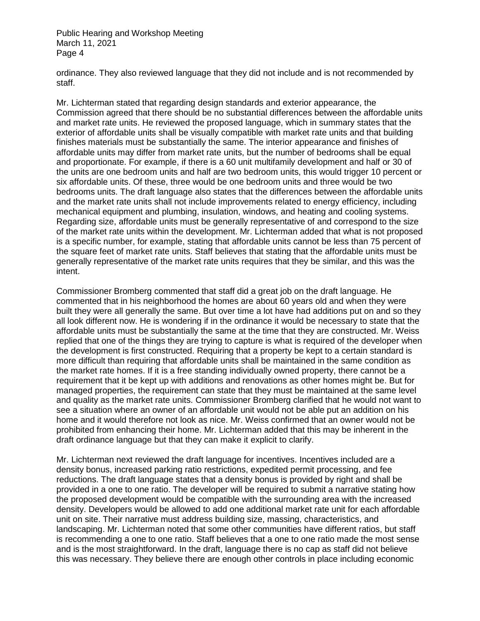ordinance. They also reviewed language that they did not include and is not recommended by staff.

Mr. Lichterman stated that regarding design standards and exterior appearance, the Commission agreed that there should be no substantial differences between the affordable units and market rate units. He reviewed the proposed language, which in summary states that the exterior of affordable units shall be visually compatible with market rate units and that building finishes materials must be substantially the same. The interior appearance and finishes of affordable units may differ from market rate units, but the number of bedrooms shall be equal and proportionate. For example, if there is a 60 unit multifamily development and half or 30 of the units are one bedroom units and half are two bedroom units, this would trigger 10 percent or six affordable units. Of these, three would be one bedroom units and three would be two bedrooms units. The draft language also states that the differences between the affordable units and the market rate units shall not include improvements related to energy efficiency, including mechanical equipment and plumbing, insulation, windows, and heating and cooling systems. Regarding size, affordable units must be generally representative of and correspond to the size of the market rate units within the development. Mr. Lichterman added that what is not proposed is a specific number, for example, stating that affordable units cannot be less than 75 percent of the square feet of market rate units. Staff believes that stating that the affordable units must be generally representative of the market rate units requires that they be similar, and this was the intent.

Commissioner Bromberg commented that staff did a great job on the draft language. He commented that in his neighborhood the homes are about 60 years old and when they were built they were all generally the same. But over time a lot have had additions put on and so they all look different now. He is wondering if in the ordinance it would be necessary to state that the affordable units must be substantially the same at the time that they are constructed. Mr. Weiss replied that one of the things they are trying to capture is what is required of the developer when the development is first constructed. Requiring that a property be kept to a certain standard is more difficult than requiring that affordable units shall be maintained in the same condition as the market rate homes. If it is a free standing individually owned property, there cannot be a requirement that it be kept up with additions and renovations as other homes might be. But for managed properties, the requirement can state that they must be maintained at the same level and quality as the market rate units. Commissioner Bromberg clarified that he would not want to see a situation where an owner of an affordable unit would not be able put an addition on his home and it would therefore not look as nice. Mr. Weiss confirmed that an owner would not be prohibited from enhancing their home. Mr. Lichterman added that this may be inherent in the draft ordinance language but that they can make it explicit to clarify.

Mr. Lichterman next reviewed the draft language for incentives. Incentives included are a density bonus, increased parking ratio restrictions, expedited permit processing, and fee reductions. The draft language states that a density bonus is provided by right and shall be provided in a one to one ratio. The developer will be required to submit a narrative stating how the proposed development would be compatible with the surrounding area with the increased density. Developers would be allowed to add one additional market rate unit for each affordable unit on site. Their narrative must address building size, massing, characteristics, and landscaping. Mr. Lichterman noted that some other communities have different ratios, but staff is recommending a one to one ratio. Staff believes that a one to one ratio made the most sense and is the most straightforward. In the draft, language there is no cap as staff did not believe this was necessary. They believe there are enough other controls in place including economic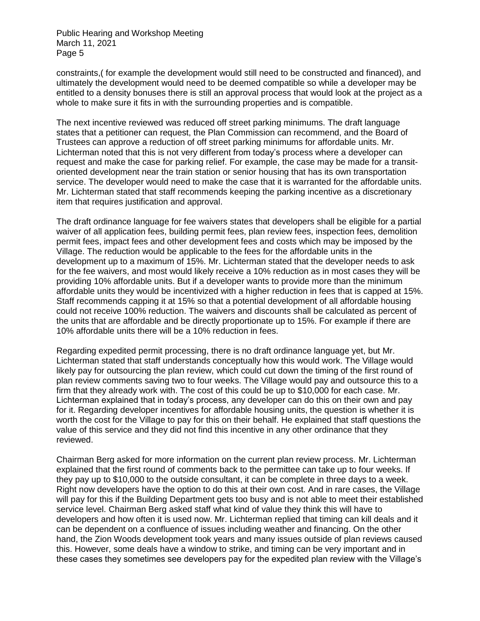constraints,( for example the development would still need to be constructed and financed), and ultimately the development would need to be deemed compatible so while a developer may be entitled to a density bonuses there is still an approval process that would look at the project as a whole to make sure it fits in with the surrounding properties and is compatible.

The next incentive reviewed was reduced off street parking minimums. The draft language states that a petitioner can request, the Plan Commission can recommend, and the Board of Trustees can approve a reduction of off street parking minimums for affordable units. Mr. Lichterman noted that this is not very different from today's process where a developer can request and make the case for parking relief. For example, the case may be made for a transitoriented development near the train station or senior housing that has its own transportation service. The developer would need to make the case that it is warranted for the affordable units. Mr. Lichterman stated that staff recommends keeping the parking incentive as a discretionary item that requires justification and approval.

The draft ordinance language for fee waivers states that developers shall be eligible for a partial waiver of all application fees, building permit fees, plan review fees, inspection fees, demolition permit fees, impact fees and other development fees and costs which may be imposed by the Village. The reduction would be applicable to the fees for the affordable units in the development up to a maximum of 15%. Mr. Lichterman stated that the developer needs to ask for the fee waivers, and most would likely receive a 10% reduction as in most cases they will be providing 10% affordable units. But if a developer wants to provide more than the minimum affordable units they would be incentivized with a higher reduction in fees that is capped at 15%. Staff recommends capping it at 15% so that a potential development of all affordable housing could not receive 100% reduction. The waivers and discounts shall be calculated as percent of the units that are affordable and be directly proportionate up to 15%. For example if there are 10% affordable units there will be a 10% reduction in fees.

Regarding expedited permit processing, there is no draft ordinance language yet, but Mr. Lichterman stated that staff understands conceptually how this would work. The Village would likely pay for outsourcing the plan review, which could cut down the timing of the first round of plan review comments saving two to four weeks. The Village would pay and outsource this to a firm that they already work with. The cost of this could be up to \$10,000 for each case. Mr. Lichterman explained that in today's process, any developer can do this on their own and pay for it. Regarding developer incentives for affordable housing units, the question is whether it is worth the cost for the Village to pay for this on their behalf. He explained that staff questions the value of this service and they did not find this incentive in any other ordinance that they reviewed.

Chairman Berg asked for more information on the current plan review process. Mr. Lichterman explained that the first round of comments back to the permittee can take up to four weeks. If they pay up to \$10,000 to the outside consultant, it can be complete in three days to a week. Right now developers have the option to do this at their own cost. And in rare cases, the Village will pay for this if the Building Department gets too busy and is not able to meet their established service level. Chairman Berg asked staff what kind of value they think this will have to developers and how often it is used now. Mr. Lichterman replied that timing can kill deals and it can be dependent on a confluence of issues including weather and financing. On the other hand, the Zion Woods development took years and many issues outside of plan reviews caused this. However, some deals have a window to strike, and timing can be very important and in these cases they sometimes see developers pay for the expedited plan review with the Village's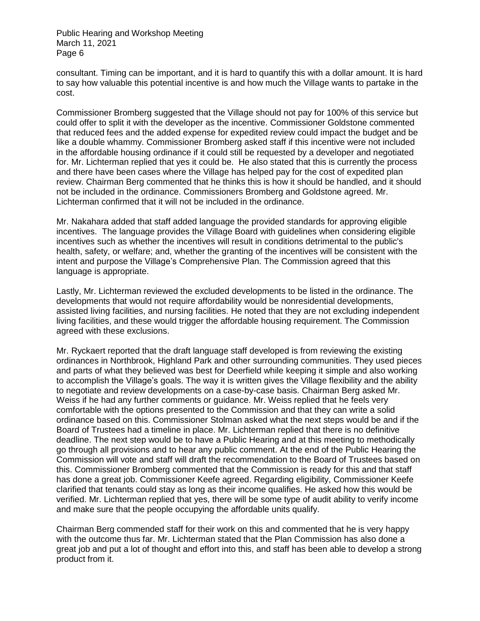consultant. Timing can be important, and it is hard to quantify this with a dollar amount. It is hard to say how valuable this potential incentive is and how much the Village wants to partake in the cost.

Commissioner Bromberg suggested that the Village should not pay for 100% of this service but could offer to split it with the developer as the incentive. Commissioner Goldstone commented that reduced fees and the added expense for expedited review could impact the budget and be like a double whammy. Commissioner Bromberg asked staff if this incentive were not included in the affordable housing ordinance if it could still be requested by a developer and negotiated for. Mr. Lichterman replied that yes it could be. He also stated that this is currently the process and there have been cases where the Village has helped pay for the cost of expedited plan review. Chairman Berg commented that he thinks this is how it should be handled, and it should not be included in the ordinance. Commissioners Bromberg and Goldstone agreed. Mr. Lichterman confirmed that it will not be included in the ordinance.

Mr. Nakahara added that staff added language the provided standards for approving eligible incentives. The language provides the Village Board with guidelines when considering eligible incentives such as whether the incentives will result in conditions detrimental to the public's health, safety, or welfare; and, whether the granting of the incentives will be consistent with the intent and purpose the Village's Comprehensive Plan. The Commission agreed that this language is appropriate.

Lastly, Mr. Lichterman reviewed the excluded developments to be listed in the ordinance. The developments that would not require affordability would be nonresidential developments, assisted living facilities, and nursing facilities. He noted that they are not excluding independent living facilities, and these would trigger the affordable housing requirement. The Commission agreed with these exclusions.

Mr. Ryckaert reported that the draft language staff developed is from reviewing the existing ordinances in Northbrook, Highland Park and other surrounding communities. They used pieces and parts of what they believed was best for Deerfield while keeping it simple and also working to accomplish the Village's goals. The way it is written gives the Village flexibility and the ability to negotiate and review developments on a case-by-case basis. Chairman Berg asked Mr. Weiss if he had any further comments or guidance. Mr. Weiss replied that he feels very comfortable with the options presented to the Commission and that they can write a solid ordinance based on this. Commissioner Stolman asked what the next steps would be and if the Board of Trustees had a timeline in place. Mr. Lichterman replied that there is no definitive deadline. The next step would be to have a Public Hearing and at this meeting to methodically go through all provisions and to hear any public comment. At the end of the Public Hearing the Commission will vote and staff will draft the recommendation to the Board of Trustees based on this. Commissioner Bromberg commented that the Commission is ready for this and that staff has done a great job. Commissioner Keefe agreed. Regarding eligibility, Commissioner Keefe clarified that tenants could stay as long as their income qualifies. He asked how this would be verified. Mr. Lichterman replied that yes, there will be some type of audit ability to verify income and make sure that the people occupying the affordable units qualify.

Chairman Berg commended staff for their work on this and commented that he is very happy with the outcome thus far. Mr. Lichterman stated that the Plan Commission has also done a great job and put a lot of thought and effort into this, and staff has been able to develop a strong product from it.